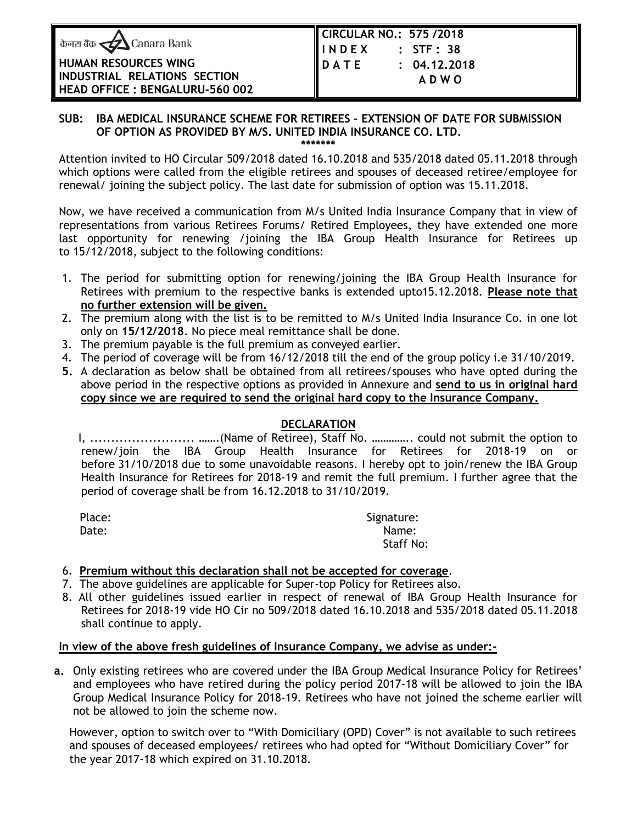| केनरा बैंक <u>&lt;</u> Canara Bank |  |  |  |  |
|------------------------------------|--|--|--|--|
|------------------------------------|--|--|--|--|

**HUMAN RESOURCES WING INDUSTRIAL RELATIONS SECTION HEAD OFFICE : BENGALURU-560 002** 

## **SUB: IBA MEDICAL INSURANCE SCHEME FOR RETIREES – EXTENSION OF DATE FOR SUBMISSION OF OPTION AS PROVIDED BY M/S. UNITED INDIA INSURANCE CO. LTD.**

**\*\*\*\*\*\*\***

Attention invited to HO Circular 509/2018 dated 16.10.2018 and 535/2018 dated 05.11.2018 through which options were called from the eligible retirees and spouses of deceased retiree/employee for renewal/ joining the subject policy. The last date for submission of option was 15.11.2018.

Now, we have received a communication from M/s United India Insurance Company that in view of representations from various Retirees Forums/ Retired Employees, they have extended one more last opportunity for renewing /joining the IBA Group Health Insurance for Retirees up to 15/12/2018, subject to the following conditions:

- 1. The period for submitting option for renewing/joining the IBA Group Health Insurance for Retirees with premium to the respective banks is extended upto15.12.2018. **Please note that no further extension will be given.**
- 2. The premium along with the list is to be remitted to M/s United India Insurance Co. in one lot only on **15/12/2018**. No piece meal remittance shall be done.
- 3. The premium payable is the full premium as conveyed earlier.
- 4. The period of coverage will be from 16/12/2018 till the end of the group policy i.e 31/10/2019.
- **5.** A declaration as below shall be obtained from all retirees/spouses who have opted during the above period in the respective options as provided in Annexure and **send to us in original hard copy since we are required to send the original hard copy to the Insurance Company.**

## **DECLARATION**

 I, ......................... …….(Name of Retiree), Staff No. ………….. could not submit the option to renew/join the IBA Group Health Insurance for Retirees for 2018-19 on or before 31/10/2018 due to some unavoidable reasons. I hereby opt to join/renew the IBA Group Health Insurance for Retirees for 2018-19 and remit the full premium. I further agree that the period of coverage shall be from 16.12.2018 to 31/10/2019.

| Place: | Signature:       |
|--------|------------------|
| Date:  | Name:            |
|        | <b>Staff No:</b> |

## 6. **Premium without this declaration shall not be accepted for coverage**.

- 7. The above guidelines are applicable for Super-top Policy for Retirees also.
- 8. All other guidelines issued earlier in respect of renewal of IBA Group Health Insurance for Retirees for 2018-19 vide HO Cir no 509/2018 dated 16.10.2018 and 535/2018 dated 05.11.2018 shall continue to apply.

## **In view of the above fresh guidelines of Insurance Company, we advise as under:-**

**a.** Only existing retirees who are covered under the IBA Group Medical Insurance Policy for Retirees' and employees who have retired during the policy period 2017-18 will be allowed to join the IBA Group Medical Insurance Policy for 2018-19. Retirees who have not joined the scheme earlier will not be allowed to join the scheme now.

 However, option to switch over to "With Domiciliary (OPD) Cover" is not available to such retirees and spouses of deceased employees/ retirees who had opted for "Without Domiciliary Cover" for the year 2017-18 which expired on 31.10.2018.